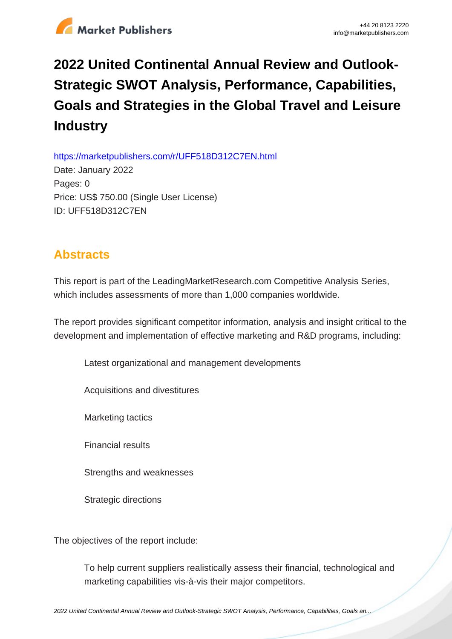

## **2022 United Continental Annual Review and Outlook-Strategic SWOT Analysis, Performance, Capabilities, Goals and Strategies in the Global Travel and Leisure Industry**

https://marketpublishers.com/r/UFF518D312C7EN.html

Date: January 2022 Pages: 0 Price: US\$ 750.00 (Single User License) ID: UFF518D312C7EN

## **Abstracts**

This report is part of the LeadingMarketResearch.com Competitive Analysis Series, which includes assessments of more than 1,000 companies worldwide.

The report provides significant competitor information, analysis and insight critical to the development and implementation of effective marketing and R&D programs, including:

Latest organizational and management developments

Acquisitions and divestitures

Marketing tactics

Financial results

Strengths and weaknesses

Strategic directions

The objectives of the report include:

To help current suppliers realistically assess their financial, technological and marketing capabilities vis-à-vis their major competitors.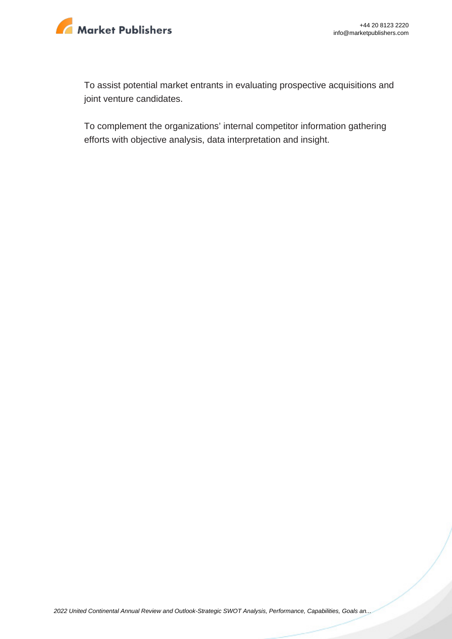

To assist potential market entrants in evaluating prospective acquisitions and joint venture candidates.

To complement the organizations' internal competitor information gathering efforts with objective analysis, data interpretation and insight.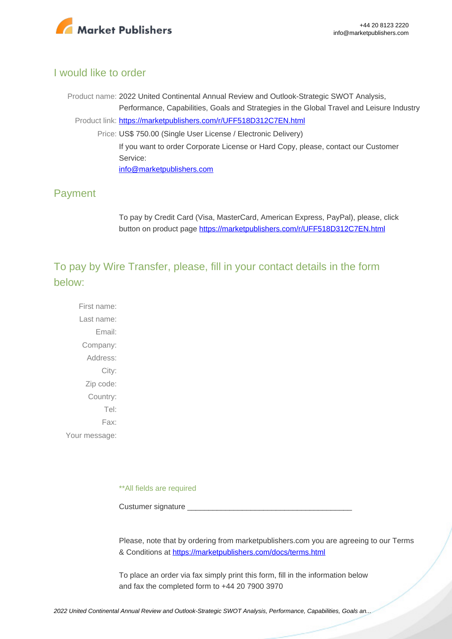

## I would like to order

Product name: 2022 United Continental Annual Review and Outlook-Strategic SWOT Analysis, Performance, Capabilities, Goals and Strategies in the Global Travel and Leisure Industry Product link: [https://marketpublishers.com/r/UFF518D312C7EN.html](https://marketpublishers.com/report/services/travel-leisure/united-continental-annual-review-n-outlook-strategic-swot-analysis-performance-capabilities-goals-n-strategies-in-global-travel-n-leisure-industry.html) Price: US\$ 750.00 (Single User License / Electronic Delivery) If you want to order Corporate License or Hard Copy, please, contact our Customer Service: [info@marketpublishers.com](mailto:info@marketpublishers.com)

## Payment

To pay by Credit Card (Visa, MasterCard, American Express, PayPal), please, click button on product page [https://marketpublishers.com/r/UFF518D312C7EN.html](https://marketpublishers.com/report/services/travel-leisure/united-continental-annual-review-n-outlook-strategic-swot-analysis-performance-capabilities-goals-n-strategies-in-global-travel-n-leisure-industry.html)

To pay by Wire Transfer, please, fill in your contact details in the form below:

First name: Last name: Email: Company: Address: City: Zip code: Country: Tel: Fax: Your message:

\*\*All fields are required

Custumer signature

Please, note that by ordering from marketpublishers.com you are agreeing to our Terms & Conditions at<https://marketpublishers.com/docs/terms.html>

To place an order via fax simply print this form, fill in the information below and fax the completed form to +44 20 7900 3970